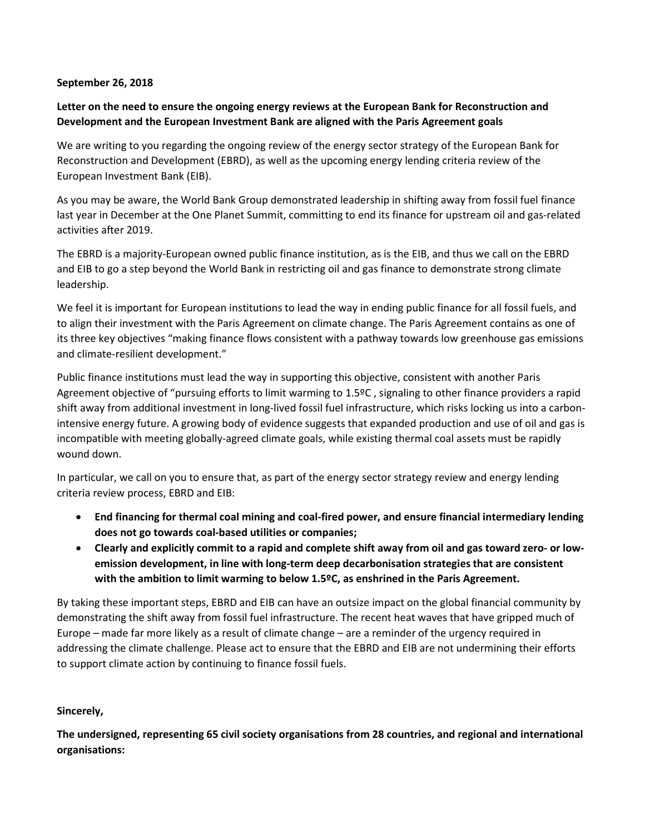## September 26, 2018

## Letter on the need to ensure the ongoing energy reviews at the European Bank for Reconstruction and Development and the European Investment Bank are aligned with the Paris Agreement goals

We are writing to you regarding the ongoing review of the energy sector strategy of the European Bank for Reconstruction and Development (EBRD), as well as the upcoming energy lending criteria review of the European Investment Bank (EIB).

As you may be aware, the World Bank Group demonstrated leadership in shifting away from fossil fuel finance last year in December at the One Planet Summit, committing to end its finance for upstream oil and gas-related activities after 2019.

The EBRD is a majority-European owned public finance institution, as is the EIB, and thus we call on the EBRD and EIB to go a step beyond the World Bank in restricting oil and gas finance to demonstrate strong climate leadership.

We feel it is important for European institutions to lead the way in ending public finance for all fossil fuels, and to align their investment with the Paris Agreement on climate change. The Paris Agreement contains as one of its three key objectives "making finance flows consistent with a pathway towards low greenhouse gas emissions and climate-resilient development."

Public finance institutions must lead the way in supporting this objective, consistent with another Paris Agreement objective of "pursuing efforts to limit warming to 1.5ºC , signaling to other finance providers a rapid shift away from additional investment in long-lived fossil fuel infrastructure, which risks locking us into a carbonintensive energy future. A growing body of evidence suggests that expanded production and use of oil and gas is incompatible with meeting globally-agreed climate goals, while existing thermal coal assets must be rapidly wound down.

In particular, we call on you to ensure that, as part of the energy sector strategy review and energy lending criteria review process, EBRD and EIB:

- End financing for thermal coal mining and coal-fired power, and ensure financial intermediary lending does not go towards coal-based utilities or companies;
- Clearly and explicitly commit to a rapid and complete shift away from oil and gas toward zero- or lowemission development, in line with long-term deep decarbonisation strategies that are consistent with the ambition to limit warming to below 1.5ºC, as enshrined in the Paris Agreement.

By taking these important steps, EBRD and EIB can have an outsize impact on the global financial community by demonstrating the shift away from fossil fuel infrastructure. The recent heat waves that have gripped much of Europe – made far more likely as a result of climate change – are a reminder of the urgency required in addressing the climate challenge. Please act to ensure that the EBRD and EIB are not undermining their efforts to support climate action by continuing to finance fossil fuels.

## Sincerely,

The undersigned, representing 65 civil society organisations from 28 countries, and regional and international organisations: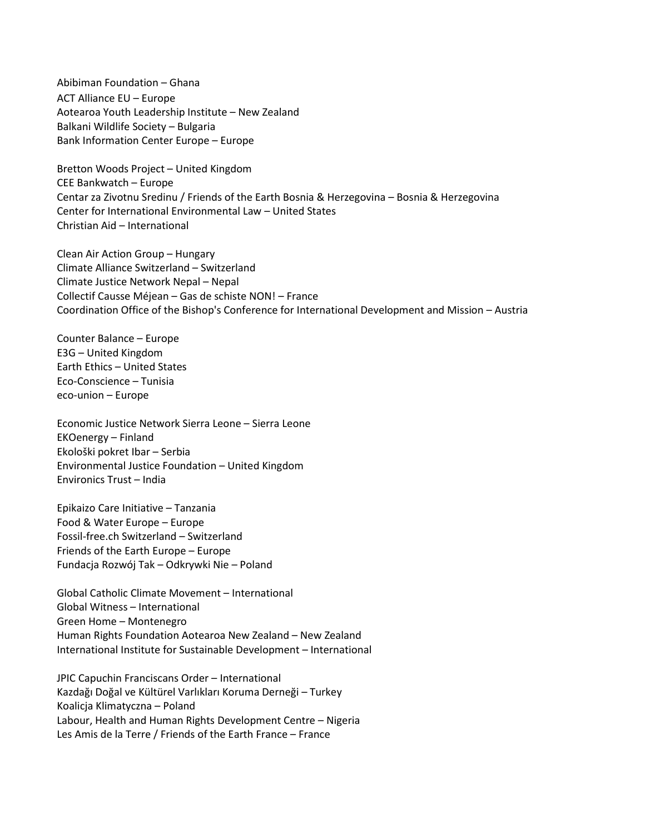Abibiman Foundation – Ghana ACT Alliance EU – Europe Aotearoa Youth Leadership Institute – New Zealand Balkani Wildlife Society – Bulgaria Bank Information Center Europe – Europe

Bretton Woods Project – United Kingdom CEE Bankwatch – Europe Centar za Zivotnu Sredinu / Friends of the Earth Bosnia & Herzegovina – Bosnia & Herzegovina Center for International Environmental Law – United States Christian Aid – International

Clean Air Action Group – Hungary Climate Alliance Switzerland – Switzerland Climate Justice Network Nepal – Nepal Collectif Causse Méjean – Gas de schiste NON! – France Coordination Office of the Bishop's Conference for International Development and Mission – Austria

Counter Balance – Europe E3G – United Kingdom Earth Ethics – United States Eco-Conscience – Tunisia eco-union – Europe

Economic Justice Network Sierra Leone – Sierra Leone EKOenergy – Finland Ekološki pokret Ibar – Serbia Environmental Justice Foundation – United Kingdom Environics Trust – India

Epikaizo Care Initiative – Tanzania Food & Water Europe – Europe Fossil-free.ch Switzerland – Switzerland Friends of the Earth Europe – Europe Fundacja Rozwój Tak – Odkrywki Nie – Poland

Global Catholic Climate Movement – International Global Witness – International Green Home – Montenegro Human Rights Foundation Aotearoa New Zealand – New Zealand International Institute for Sustainable Development – International

JPIC Capuchin Franciscans Order – International Kazdağı Doğal ve Kültürel Varlıkları Koruma Derneği – Turkey Koalicja Klimatyczna – Poland Labour, Health and Human Rights Development Centre – Nigeria Les Amis de la Terre / Friends of the Earth France – France